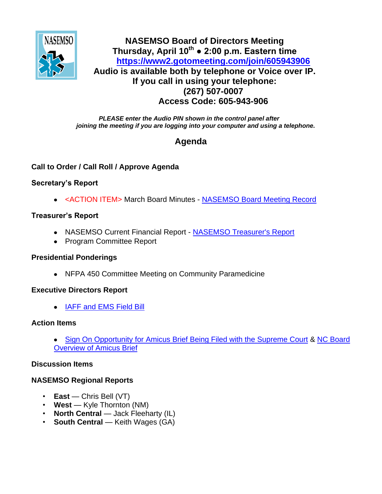

## **NASEMSO Board of Directors Meeting Thursday, April 10th ● 2:00 p.m. Eastern time <https://www2.gotomeeting.com/join/605943906> Audio is available both by telephone or Voice over IP. If you call in using your telephone: (267) 507-0007 Access Code: 605-943-906**

*PLEASE enter the Audio PIN shown in the control panel after joining the meeting if you are logging into your computer and using a telephone.*

# **Agenda**

## **Call to Order / Call Roll / Approve Agenda**

### **Secretary's Report**

<ACTION ITEM> March Board Minutes - [NASEMSO Board Meeting Record](https://www.nasemso.org/Members/Board/documents/NASEMSO-Board-Minutes-03Mar2014.pdf)

### **Treasurer's Report**

- NASEMSO Current Financial Report [NASEMSO Treasurer's Report](https://www.nasemso.org/Members/Board/documents/NASEMSO-Treasurers-Report-31March2014.pdf)
- Program Committee Report

### **Presidential Ponderings**

NFPA 450 Committee Meeting on Community Paramedicine

### **Executive Directors Report**

[IAFF and EMS Field Bill](https://www.nasemso.org/Members/Board/documents/IAFF-Legislative-Fact-Sheet-Apr2014.pdf)

### **Action Items**

[Sign On Opportunity for Amicus Brief Being Filed with the Supreme Court](https://www.nasemso.org/Members/Board/documents/NCSBDE-vs-FTC.pdf) & [NC Board](https://www.nasemso.org/Members/Board/documents/NC-Board-Overview-of-Amicus-Brief.pdf)  [Overview of Amicus Brief](https://www.nasemso.org/Members/Board/documents/NC-Board-Overview-of-Amicus-Brief.pdf)

### **Discussion Items**

### **NASEMSO Regional Reports**

- **East** Chris Bell (VT)
- **West** Kyle Thornton (NM)
- **North Central** Jack Fleeharty (IL)
- **South Central** Keith Wages (GA)